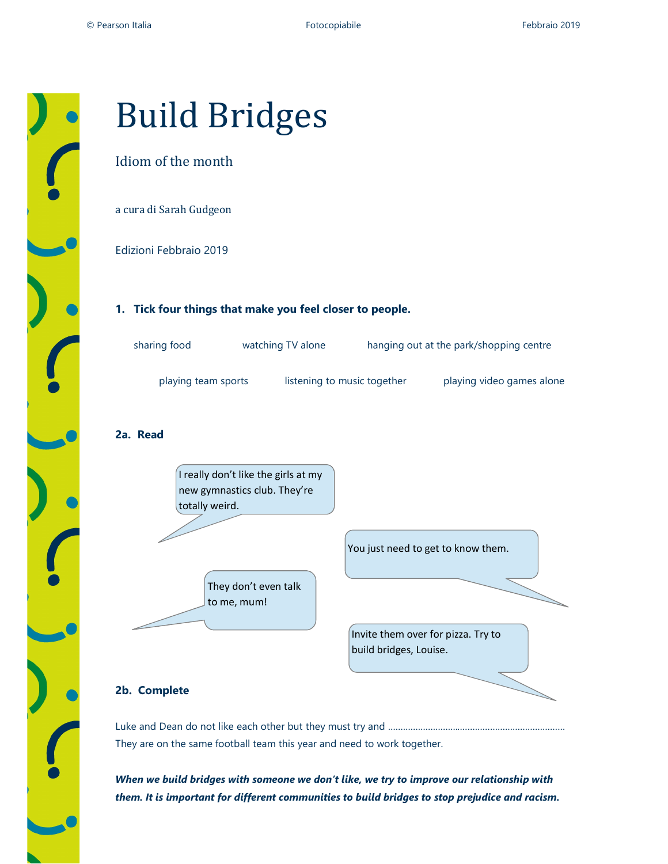

# Build Bridges

## Idiom of the month

a cura di Sarah Gudgeon

Edizioni Febbraio 2019

#### 1. Tick four things that make you feel closer to people.

| sharing food        | watching TV alone           | hanging out at the park/shopping centre |
|---------------------|-----------------------------|-----------------------------------------|
| playing team sports | listening to music together | playing video games alone               |

### 2a. Read



They are on the same football team this year and need to work together.

When we build bridges with someone we don't like, we try to improve our relationship with them. It is important for different communities to build bridges to stop prejudice and racism.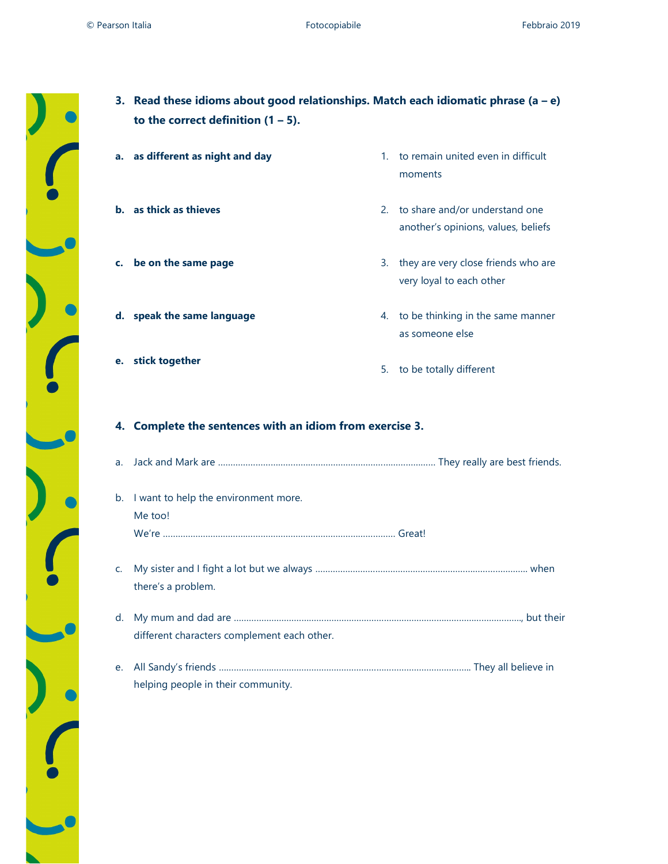3. Read these idioms about good relationships. Match each idiomatic phrase  $(a - e)$ 



|    | to the correct definition $(1 – 5)$ .                 |                                                                          |
|----|-------------------------------------------------------|--------------------------------------------------------------------------|
| a. | as different as night and day                         | 1. to remain united even in difficult<br>moments                         |
|    | <b>b.</b> as thick as thieves                         | 2. to share and/or understand one<br>another's opinions, values, beliefs |
| c. | be on the same page                                   | 3. they are very close friends who are<br>very loyal to each other       |
|    | d. speak the same language                            | 4. to be thinking in the same manner<br>as someone else                  |
| е. | stick together                                        | 5. to be totally different                                               |
| 4. | Complete the sentences with an idiom from exercise 3. |                                                                          |
| a. |                                                       |                                                                          |
|    |                                                       |                                                                          |
| b. | I want to help the environment more.<br>Me too!       |                                                                          |
| C. | there's a problem.                                    |                                                                          |
| d. | different characters complement each other.           |                                                                          |